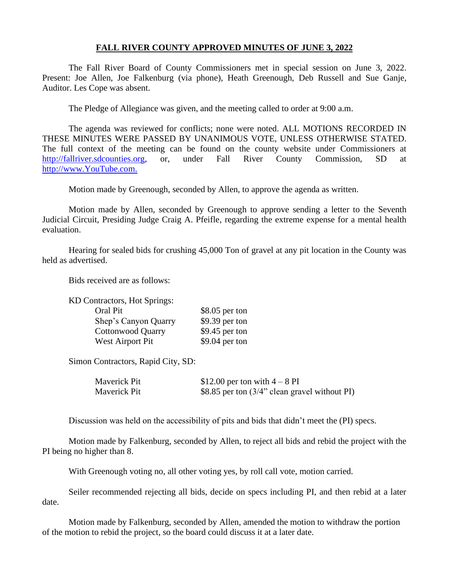## **FALL RIVER COUNTY APPROVED MINUTES OF JUNE 3, 2022**

The Fall River Board of County Commissioners met in special session on June 3, 2022. Present: Joe Allen, Joe Falkenburg (via phone), Heath Greenough, Deb Russell and Sue Ganje, Auditor. Les Cope was absent.

The Pledge of Allegiance was given, and the meeting called to order at 9:00 a.m.

The agenda was reviewed for conflicts; none were noted. ALL MOTIONS RECORDED IN THESE MINUTES WERE PASSED BY UNANIMOUS VOTE, UNLESS OTHERWISE STATED. The full context of the meeting can be found on the county website under Commissioners at [http://fallriver.sdcounties.org,](http://fallriver.sdcounties.org/) or, under Fall River County Commission, SD at [http://www.YouTube.com.](http://www.youtube.com/)

Motion made by Greenough, seconded by Allen, to approve the agenda as written.

Motion made by Allen, seconded by Greenough to approve sending a letter to the Seventh Judicial Circuit, Presiding Judge Craig A. Pfeifle, regarding the extreme expense for a mental health evaluation.

Hearing for sealed bids for crushing 45,000 Ton of gravel at any pit location in the County was held as advertised.

Bids received are as follows:

| <b>KD Contractors, Hot Springs:</b> |                 |
|-------------------------------------|-----------------|
| Oral Pit                            | $$8.05$ per ton |
| Shep's Canyon Quarry                | $$9.39$ per ton |
| <b>Cottonwood Quarry</b>            | $$9.45$ per ton |
| West Airport Pit                    | $$9.04$ per ton |

Simon Contractors, Rapid City, SD:

| Maverick Pit | \$12.00 per ton with $4-8$ PI                 |
|--------------|-----------------------------------------------|
| Maverick Pit | \$8.85 per ton (3/4" clean gravel without PI) |

Discussion was held on the accessibility of pits and bids that didn't meet the (PI) specs.

Motion made by Falkenburg, seconded by Allen, to reject all bids and rebid the project with the PI being no higher than 8.

With Greenough voting no, all other voting yes, by roll call vote, motion carried.

Seiler recommended rejecting all bids, decide on specs including PI, and then rebid at a later date.

Motion made by Falkenburg, seconded by Allen, amended the motion to withdraw the portion of the motion to rebid the project, so the board could discuss it at a later date.